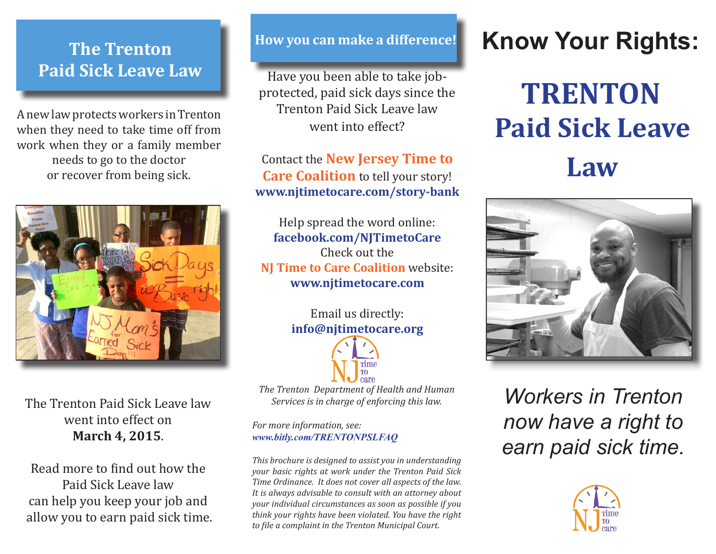#### **The Trenton Paid Sick Leave Law**

A new law protects workers in Trenton when they need to take time off from work when they or a family member needs to go to the doctor or recover from being sick.



The Trenton Paid Sick Leave law went into effect on **March 4, 2015**.

Read more to find out how the Paid Sick Leave law can help you keep your job and allow you to earn paid sick time.

#### **How you can make a difference!**

Have you been able to take jobprotected, paid sick days since the Trenton Paid Sick Leave law went into effect?

Contact the **New Jersey Time to Care Coalition** to tell your story! **www.njtimetocare.com/story-bank**

Help spread the word online: **facebook.com/NJTimetoCare** Check out the **NJ Time to Care Coalition** website: **www.njtimetocare.com**

> Email us directly: **info@njtimetocare.org**



*The Trenton Department of Health and Human Services is in charge of enforcing this law.* 

*For more information, see: www.bitly.com/TRENTONPSLFAQ*

*This brochure is designed to assist you in understanding your basic rights at work under the Trenton Paid Sick Time Ordinance. It does not cover all aspects of the law. It is always advisable to consult with an attorney about your individual circumstances as soon as possible if you think your rights have been violated. You have the right to file a complaint in the Trenton Municipal Court.*

# **Know Your Rights:**

**TRENTON Paid Sick Leave Law**



*Workers in Trenton now have a right to earn paid sick time.*